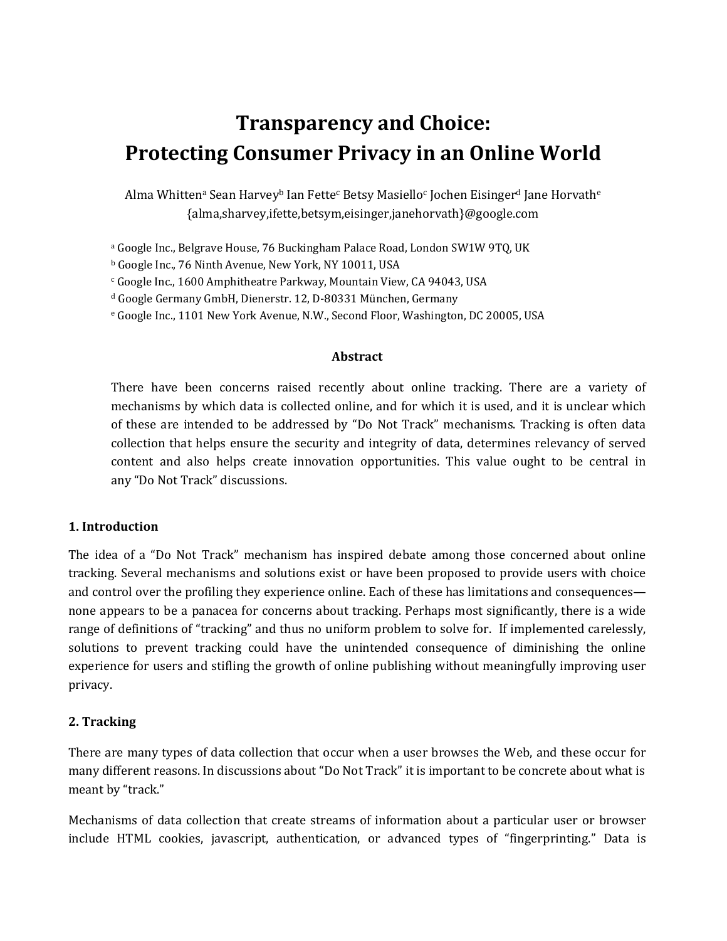# **Transparency and Choice: Protecting Consumer Privacy in an Online World**

Alma Whittenª Sean Harvey<sup>b</sup> Ian Fette<sup>c</sup> Betsy Masiello<sup>c</sup> Jochen Eisinger<sup>d</sup> Jane Horvath<sup>e</sup> {alma,sharvey,ifette,betsym,eisinger,janehorvath}@google.com

<sup>a</sup> Google Inc., Belgrave House, 76 Buckingham Palace Road, London SW1W 9TQ, UK

<sup>b</sup> Google Inc., 76 Ninth Avenue, New York, NY 10011, USA

<sup>c</sup> Google Inc., 1600 Amphitheatre Parkway, Mountain View, CA 94043, USA

<sup>d</sup> Google Germany GmbH, Dienerstr. 12, D-80331 München, Germany

<sup>e</sup> Google Inc., 1101 New York Avenue, N.W., Second Floor, Washington, DC 20005, USA

#### **Abstract**

There have been concerns raised recently about online tracking. There are a variety of mechanisms by which data is collected online, and for which it is used, and it is unclear which of these are intended to be addressed by "Do Not Track" mechanisms. Tracking is often data collection that helps ensure the security and integrity of data, determines relevancy of served content and also helps create innovation opportunities. This value ought to be central in any "Do Not Track" discussions.

#### **1. Introduction**

The idea of a "Do Not Track" mechanism has inspired debate among those concerned about online tracking. Several mechanisms and solutions exist or have been proposed to provide users with choice and control over the profiling they experience online. Each of these has limitations and consequences none appears to be a panacea for concerns about tracking. Perhaps most significantly, there is a wide range of definitions of "tracking" and thus no uniform problem to solve for. If implemented carelessly, solutions to prevent tracking could have the unintended consequence of diminishing the online experience for users and stifling the growth of online publishing without meaningfully improving user privacy.

#### **2. Tracking**

There are many types of data collection that occur when a user browses the Web, and these occur for many different reasons. In discussions about "Do Not Track" it is important to be concrete about what is meant by "track."

Mechanisms of data collection that create streams of information about a particular user or browser include HTML cookies, javascript, authentication, or advanced types of "fingerprinting." Data is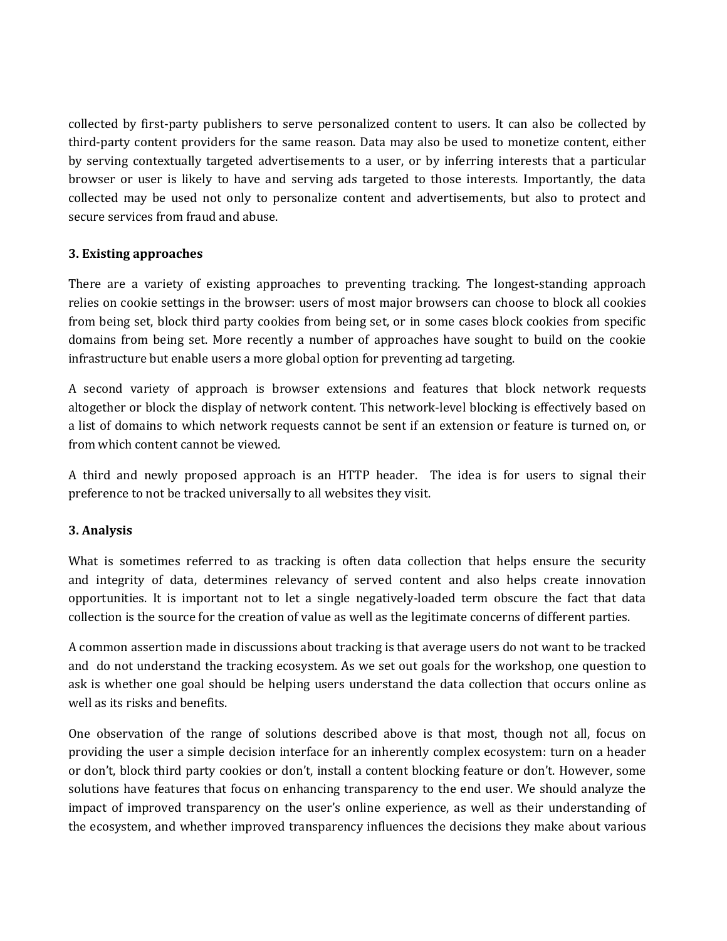collected by first-party publishers to serve personalized content to users. It can also be collected by third-party content providers for the same reason. Data may also be used to monetize content, either by serving contextually targeted advertisements to a user, or by inferring interests that a particular browser or user is likely to have and serving ads targeted to those interests. Importantly, the data collected may be used not only to personalize content and advertisements, but also to protect and secure services from fraud and abuse.

### **3. Existing approaches**

There are a variety of existing approaches to preventing tracking. The longest-standing approach relies on cookie settings in the browser: users of most major browsers can choose to block all cookies from being set, block third party cookies from being set, or in some cases block cookies from specific domains from being set. More recently a number of approaches have sought to build on the cookie infrastructure but enable users a more global option for preventing ad targeting.

A second variety of approach is browser extensions and features that block network requests altogether or block the display of network content. This network-level blocking is effectively based on a list of domains to which network requests cannot be sent if an extension or feature is turned on, or from which content cannot be viewed.

A third and newly proposed approach is an HTTP header. The idea is for users to signal their preference to not be tracked universally to all websites they visit.

## **3. Analysis**

What is sometimes referred to as tracking is often data collection that helps ensure the security and integrity of data, determines relevancy of served content and also helps create innovation opportunities. It is important not to let a single negatively-loaded term obscure the fact that data collection is the source for the creation of value as well as the legitimate concerns of different parties.

A common assertion made in discussions about tracking is that average users do not want to be tracked and do not understand the tracking ecosystem. As we set out goals for the workshop, one question to ask is whether one goal should be helping users understand the data collection that occurs online as well as its risks and benefits.

One observation of the range of solutions described above is that most, though not all, focus on providing the user a simple decision interface for an inherently complex ecosystem: turn on a header or don't, block third party cookies or don't, install a content blocking feature or don't. However, some solutions have features that focus on enhancing transparency to the end user. We should analyze the impact of improved transparency on the user's online experience, as well as their understanding of the ecosystem, and whether improved transparency influences the decisions they make about various